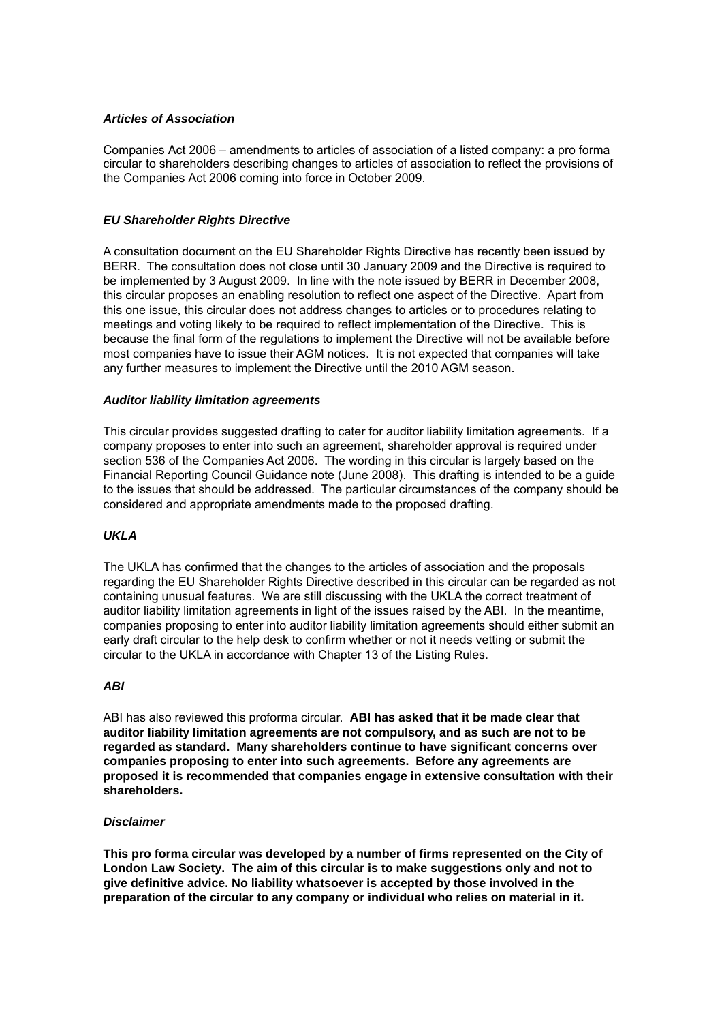#### *Articles of Association*

Companies Act 2006 – amendments to articles of association of a listed company: a pro forma circular to shareholders describing changes to articles of association to reflect the provisions of the Companies Act 2006 coming into force in October 2009.

#### *EU Shareholder Rights Directive*

A consultation document on the EU Shareholder Rights Directive has recently been issued by BERR. The consultation does not close until 30 January 2009 and the Directive is required to be implemented by 3 August 2009. In line with the note issued by BERR in December 2008, this circular proposes an enabling resolution to reflect one aspect of the Directive. Apart from this one issue, this circular does not address changes to articles or to procedures relating to meetings and voting likely to be required to reflect implementation of the Directive. This is because the final form of the regulations to implement the Directive will not be available before most companies have to issue their AGM notices. It is not expected that companies will take any further measures to implement the Directive until the 2010 AGM season.

#### *Auditor liability limitation agreements*

This circular provides suggested drafting to cater for auditor liability limitation agreements. If a company proposes to enter into such an agreement, shareholder approval is required under section 536 of the Companies Act 2006. The wording in this circular is largely based on the Financial Reporting Council Guidance note (June 2008). This drafting is intended to be a guide to the issues that should be addressed. The particular circumstances of the company should be considered and appropriate amendments made to the proposed drafting.

#### *UKLA*

The UKLA has confirmed that the changes to the articles of association and the proposals regarding the EU Shareholder Rights Directive described in this circular can be regarded as not containing unusual features. We are still discussing with the UKLA the correct treatment of auditor liability limitation agreements in light of the issues raised by the ABI. In the meantime, companies proposing to enter into auditor liability limitation agreements should either submit an early draft circular to the help desk to confirm whether or not it needs vetting or submit the circular to the UKLA in accordance with Chapter 13 of the Listing Rules.

#### *ABI*

ABI has also reviewed this proforma circular. **ABI has asked that it be made clear that auditor liability limitation agreements are not compulsory, and as such are not to be regarded as standard. Many shareholders continue to have significant concerns over companies proposing to enter into such agreements. Before any agreements are proposed it is recommended that companies engage in extensive consultation with their shareholders.** 

#### *Disclaimer*

**This pro forma circular was developed by a number of firms represented on the City of London Law Society. The aim of this circular is to make suggestions only and not to give definitive advice. No liability whatsoever is accepted by those involved in the preparation of the circular to any company or individual who relies on material in it.**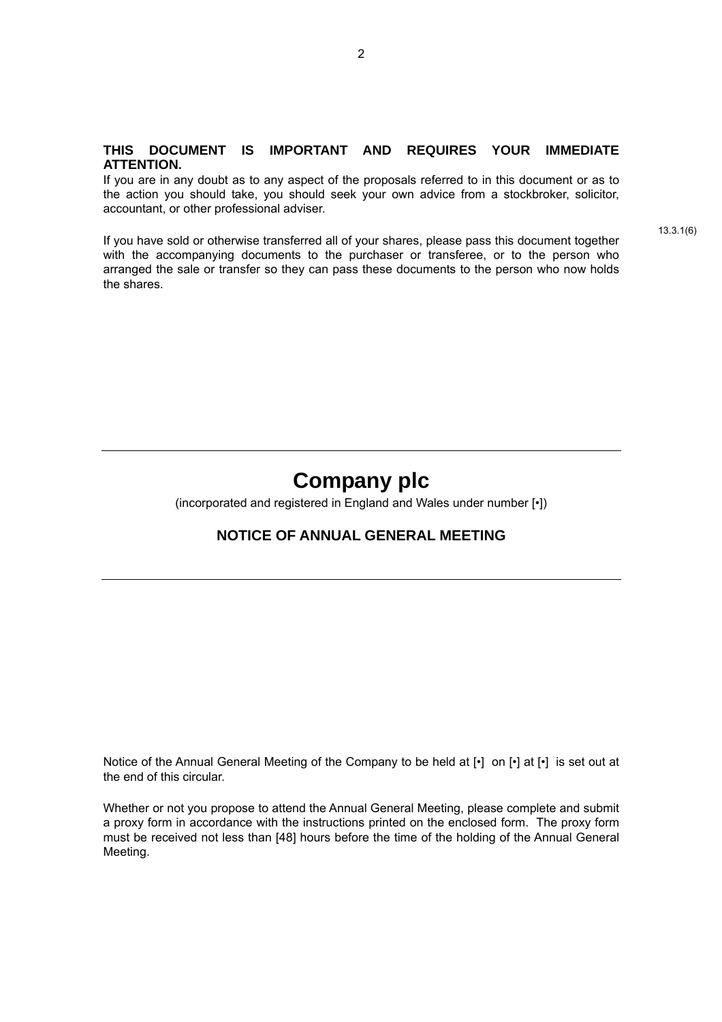#### **THIS DOCUMENT IS IMPORTANT AND REQUIRES YOUR IMMEDIATE ATTENTION.**

If you are in any doubt as to any aspect of the proposals referred to in this document or as to the action you should take, you should seek your own advice from a stockbroker, solicitor, accountant, or other professional adviser.

If you have sold or otherwise transferred all of your shares, please pass this document together with the accompanying documents to the purchaser or transferee, or to the person who arranged the sale or transfer so they can pass these documents to the person who now holds the shares.

13.3.1(6)

# **Company plc**

(incorporated and registered in England and Wales under number [•])

# **NOTICE OF ANNUAL GENERAL MEETING**

Notice of the Annual General Meeting of the Company to be held at [•] on [•] at [•] is set out at the end of this circular.

Whether or not you propose to attend the Annual General Meeting, please complete and submit a proxy form in accordance with the instructions printed on the enclosed form. The proxy form must be received not less than [48] hours before the time of the holding of the Annual General Meeting.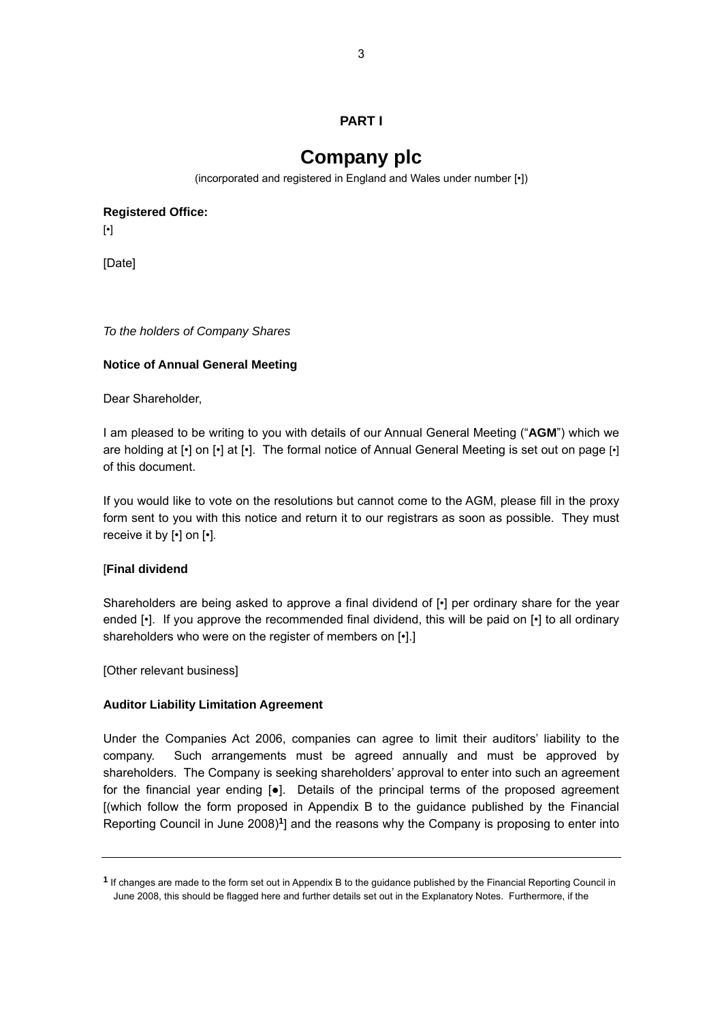# **PART I**

# **Company plc**

(incorporated and registered in England and Wales under number [•])

<span id="page-2-0"></span>**Registered Office:**

[•]

[Date]

*To the holders of Company Shares* 

## **Notice of Annual General Meeting**

Dear Shareholder,

I am pleased to be writing to you with details of our Annual General Meeting ("**AGM**") which we are holding at [•] on [•] at [•]. The formal notice of Annual General Meeting is set out on page [•] of this document.

If you would like to vote on the resolutions but cannot come to the AGM, please fill in the proxy form sent to you with this notice and return it to our registrars as soon as possible. They must receive it by [•] on [•].

#### [**Final dividend**

Shareholders are being asked to approve a final dividend of [•] per ordinary share for the year ended [•]. If you approve the recommended final dividend, this will be paid on [•] to all ordinary shareholders who were on the register of members on [.].]

[Other relevant business]

# **Auditor Liability Limitation Agreement**

Under the Companies Act 2006, companies can agree to limit their auditors' liability to the company. Such arrangements must be agreed annually and must be approved by shareholders. The Company is seeking shareholders' approval to enter into such an agreement for the financial year ending [●]. Details of the principal terms of the proposed agreement [(which follow the form proposed in Appendix B to the guidance published by the Financial Reporting Council in June 2008)**[1](#page-2-0)**] and the reasons why the Company is proposing to enter into

**<sup>1</sup>** If changes are made to the form set out in Appendix B to the guidance published by the Financial Reporting Council in June 2008, this should be flagged here and further details set out in the Explanatory Notes. Furthermore, if the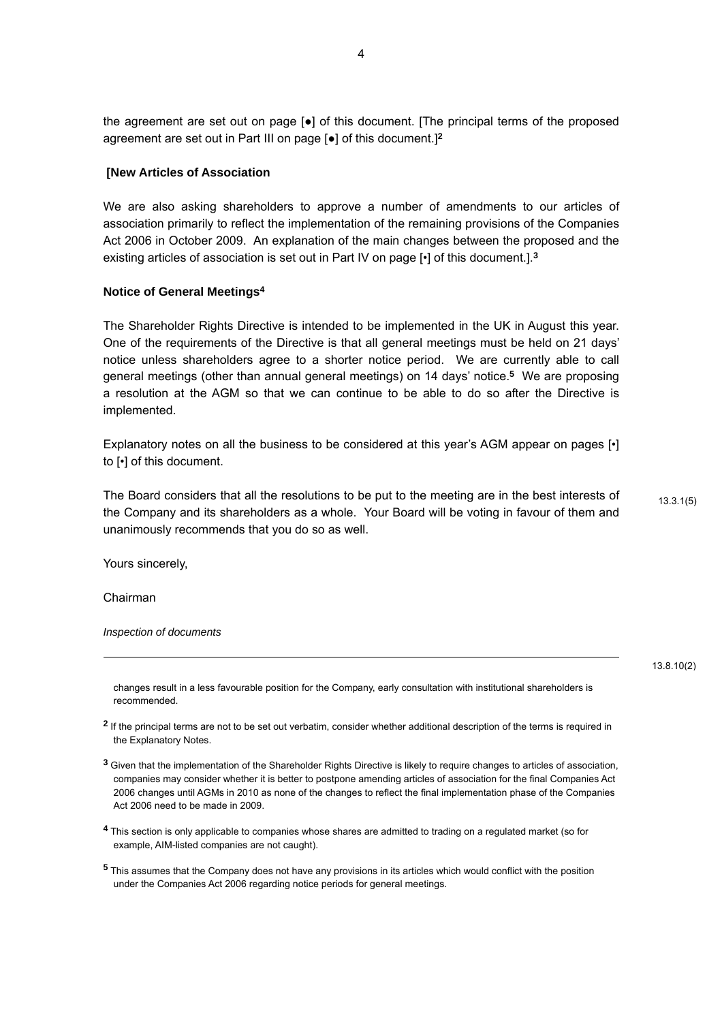the agreement are set out on page [●] of this document. [The principal terms of the proposed agreement are set out in Part III on page [●] of this document.]**[2](#page-3-0)**

#### **[New Articles of Association**

We are also asking shareholders to approve a number of amendments to our articles of association primarily to reflect the implementation of the remaining provisions of the Companies Act 2006 in October 2009. An explanation of the main changes between the proposed and the existing articles of association is set out in Part IV on page [•] of this document.].**[3](#page-3-1)**

#### **Notice of General Meeting[s4](#page-3-2)**

The Shareholder Rights Directive is intended to be implemented in the UK in August this year. One of the requirements of the Directive is that all general meetings must be held on 21 days' notice unless shareholders agree to a shorter notice period. We are currently able to call general meetings (other than annual general meetings) on 14 days' notice.**[5](#page-3-3)** We are proposing a resolution at the AGM so that we can continue to be able to do so after the Directive is implemented.

Explanatory notes on all the business to be considered at this year's AGM appear on pages [•] to [•] of this document.

The Board considers that all the resolutions to be put to the meeting are in the best interests of  $13.3.1(5)$ the Company and its shareholders as a whole. Your Board will be voting in favour of them and unanimously recommends that you do so as well.

Yours sincerely,

Chairman

-

*Inspection of documents* 

13.8.10(2)

changes result in a less favourable position for the Company, early consultation with institutional shareholders is recommended.

<span id="page-3-0"></span>**<sup>2</sup>** If the principal terms are not to be set out verbatim, consider whether additional description of the terms is required in the Explanatory Notes.

- <span id="page-3-1"></span>**<sup>3</sup>** Given that the implementation of the Shareholder Rights Directive is likely to require changes to articles of association, companies may consider whether it is better to postpone amending articles of association for the final Companies Act 2006 changes until AGMs in 2010 as none of the changes to reflect the final implementation phase of the Companies Act 2006 need to be made in 2009.
- <span id="page-3-2"></span>**<sup>4</sup>** This section is only applicable to companies whose shares are admitted to trading on a regulated market (so for example, AIM-listed companies are not caught).
- <span id="page-3-3"></span>**<sup>5</sup>** This assumes that the Company does not have any provisions in its articles which would conflict with the position under the Companies Act 2006 regarding notice periods for general meetings.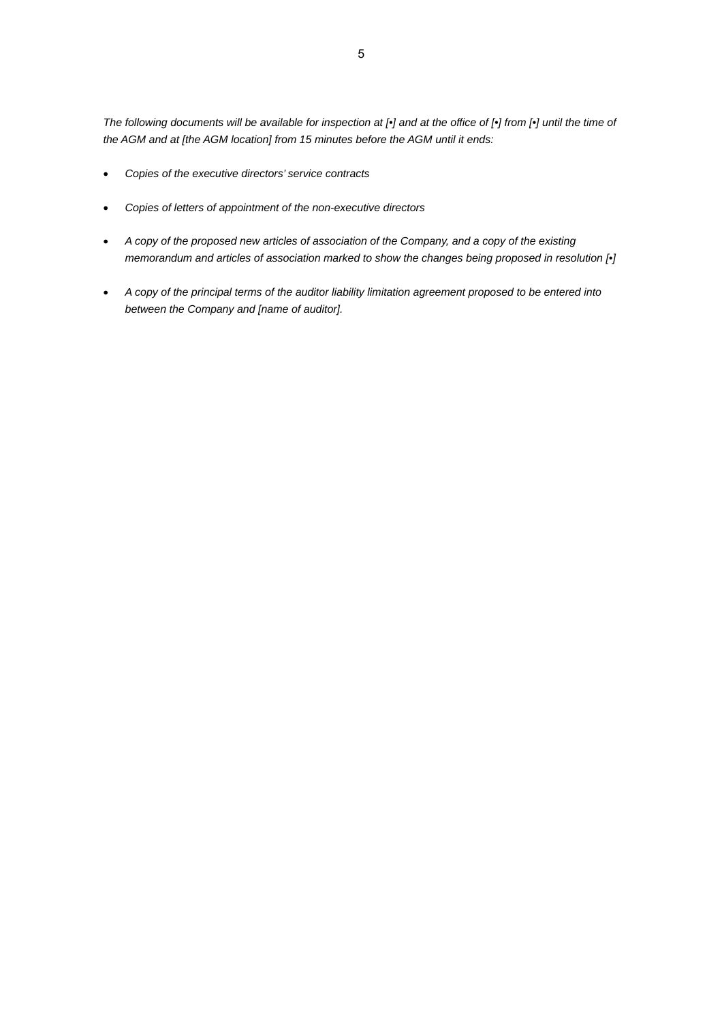*The following documents will be available for inspection at [•] and at the office of [•] from [•] until the time of the AGM and at [the AGM location] from 15 minutes before the AGM until it ends:* 

- *Copies of the executive directors' service contracts*
- *Copies of letters of appointment of the non-executive directors*
- *A copy of the proposed new articles of association of the Company, and a copy of the existing memorandum and articles of association marked to show the changes being proposed in resolution [•]*
- *A copy of the principal terms of the auditor liability limitation agreement proposed to be entered into between the Company and [name of auditor].*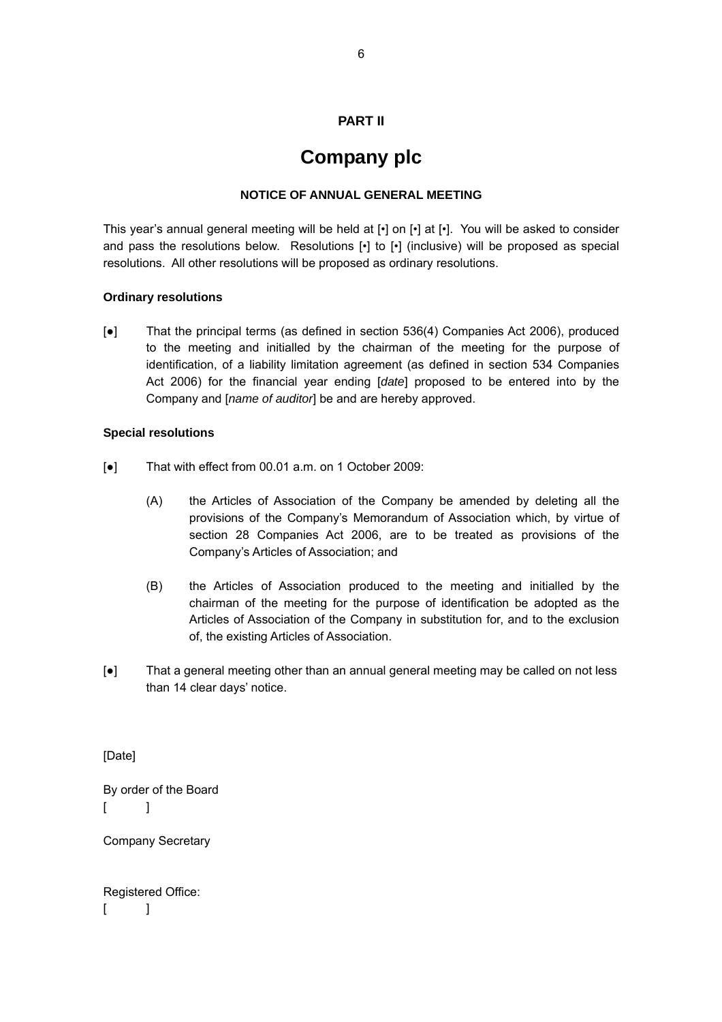# **PART II**

# **Company plc**

#### **NOTICE OF ANNUAL GENERAL MEETING**

This year's annual general meeting will be held at [•] on [•] at [•]. You will be asked to consider and pass the resolutions below. Resolutions [•] to [•] (inclusive) will be proposed as special resolutions. All other resolutions will be proposed as ordinary resolutions.

#### **Ordinary resolutions**

[●] That the principal terms (as defined in section 536(4) Companies Act 2006), produced to the meeting and initialled by the chairman of the meeting for the purpose of identification, of a liability limitation agreement (as defined in section 534 Companies Act 2006) for the financial year ending [*date*] proposed to be entered into by the Company and [*name of auditor*] be and are hereby approved.

#### **Special resolutions**

- [●] That with effect from 00.01 a.m. on 1 October 2009:
	- (A) the Articles of Association of the Company be amended by deleting all the provisions of the Company's Memorandum of Association which, by virtue of section 28 Companies Act 2006, are to be treated as provisions of the Company's Articles of Association; and
	- (B) the Articles of Association produced to the meeting and initialled by the chairman of the meeting for the purpose of identification be adopted as the Articles of Association of the Company in substitution for, and to the exclusion of, the existing Articles of Association.
- [●] That a general meeting other than an annual general meeting may be called on not less than 14 clear days' notice.

[Date]

By order of the Board  $\begin{bmatrix} 1 \end{bmatrix}$ 

Company Secretary

Registered Office:  $\lceil$   $\lceil$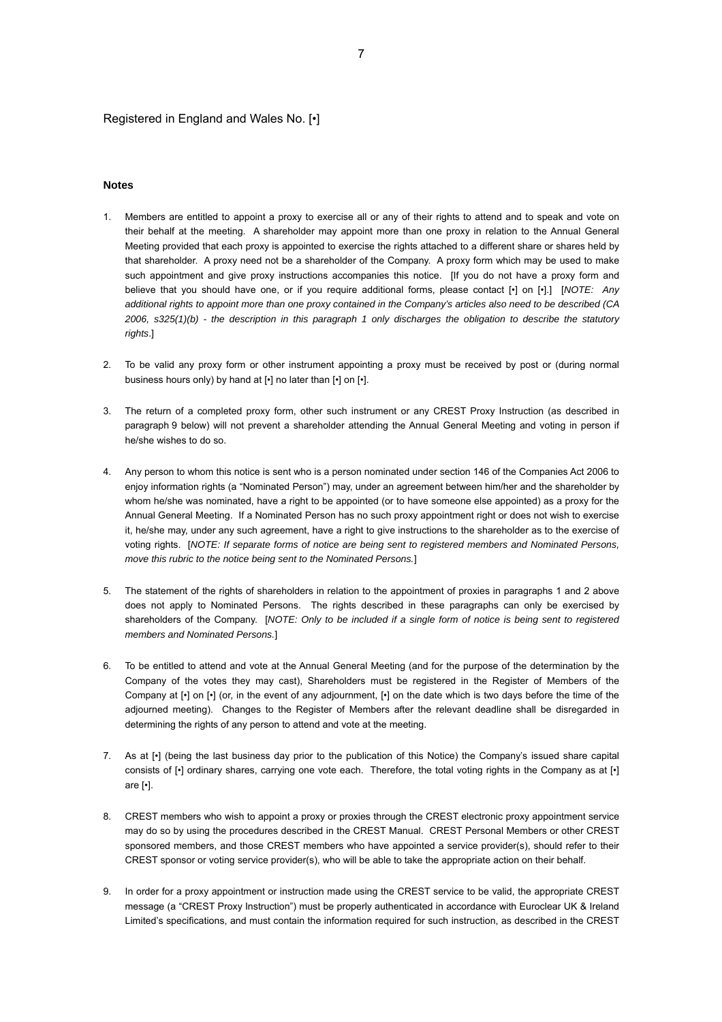#### Registered in England and Wales No. [•]

#### **Notes**

- 1. Members are entitled to appoint a proxy to exercise all or any of their rights to attend and to speak and vote on their behalf at the meeting. A shareholder may appoint more than one proxy in relation to the Annual General Meeting provided that each proxy is appointed to exercise the rights attached to a different share or shares held by that shareholder. A proxy need not be a shareholder of the Company. A proxy form which may be used to make such appointment and give proxy instructions accompanies this notice. If you do not have a proxy form and believe that you should have one, or if you require additional forms, please contact [•] on [•].] [*NOTE: Any additional rights to appoint more than one proxy contained in the Company's articles also need to be described (CA 2006, s325(1)(b) - the description in this paragraph 1 only discharges the obligation to describe the statutory rights*.]
- 2. To be valid any proxy form or other instrument appointing a proxy must be received by post or (during normal business hours only) by hand at [•] no later than [•] on [•].
- 3. The return of a completed proxy form, other such instrument or any CREST Proxy Instruction (as described in paragraph 9 below) will not prevent a shareholder attending the Annual General Meeting and voting in person if he/she wishes to do so.
- 4. Any person to whom this notice is sent who is a person nominated under section 146 of the Companies Act 2006 to enjoy information rights (a "Nominated Person") may, under an agreement between him/her and the shareholder by whom he/she was nominated, have a right to be appointed (or to have someone else appointed) as a proxy for the Annual General Meeting. If a Nominated Person has no such proxy appointment right or does not wish to exercise it, he/she may, under any such agreement, have a right to give instructions to the shareholder as to the exercise of voting rights. [*NOTE: If separate forms of notice are being sent to registered members and Nominated Persons, move this rubric to the notice being sent to the Nominated Persons.*]
- 5. The statement of the rights of shareholders in relation to the appointment of proxies in paragraphs 1 and 2 above does not apply to Nominated Persons. The rights described in these paragraphs can only be exercised by shareholders of the Company. [*NOTE: Only to be included if a single form of notice is being sent to registered members and Nominated Persons.*]
- 6. To be entitled to attend and vote at the Annual General Meeting (and for the purpose of the determination by the Company of the votes they may cast), Shareholders must be registered in the Register of Members of the Company at [•] on [•] (or, in the event of any adjournment, [•] on the date which is two days before the time of the adjourned meeting). Changes to the Register of Members after the relevant deadline shall be disregarded in determining the rights of any person to attend and vote at the meeting.
- 7. As at [•] (being the last business day prior to the publication of this Notice) the Company's issued share capital consists of [•] ordinary shares, carrying one vote each. Therefore, the total voting rights in the Company as at [•] are [•].
- 8. CREST members who wish to appoint a proxy or proxies through the CREST electronic proxy appointment service may do so by using the procedures described in the CREST Manual. CREST Personal Members or other CREST sponsored members, and those CREST members who have appointed a service provider(s), should refer to their CREST sponsor or voting service provider(s), who will be able to take the appropriate action on their behalf.
- 9. In order for a proxy appointment or instruction made using the CREST service to be valid, the appropriate CREST message (a "CREST Proxy Instruction") must be properly authenticated in accordance with Euroclear UK & Ireland Limited's specifications, and must contain the information required for such instruction, as described in the CREST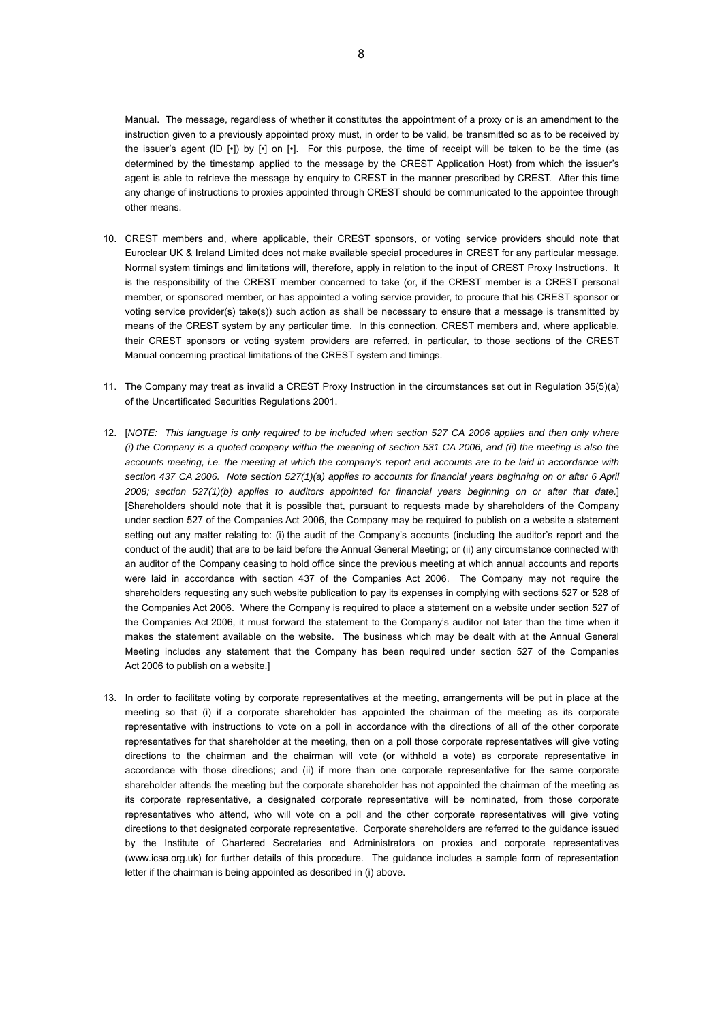Manual. The message, regardless of whether it constitutes the appointment of a proxy or is an amendment to the instruction given to a previously appointed proxy must, in order to be valid, be transmitted so as to be received by the issuer's agent (ID [•]) by [•] on [•]. For this purpose, the time of receipt will be taken to be the time (as determined by the timestamp applied to the message by the CREST Application Host) from which the issuer's agent is able to retrieve the message by enquiry to CREST in the manner prescribed by CREST. After this time any change of instructions to proxies appointed through CREST should be communicated to the appointee through other means.

- 10. CREST members and, where applicable, their CREST sponsors, or voting service providers should note that Euroclear UK & Ireland Limited does not make available special procedures in CREST for any particular message. Normal system timings and limitations will, therefore, apply in relation to the input of CREST Proxy Instructions. It is the responsibility of the CREST member concerned to take (or, if the CREST member is a CREST personal member, or sponsored member, or has appointed a voting service provider, to procure that his CREST sponsor or voting service provider(s) take(s)) such action as shall be necessary to ensure that a message is transmitted by means of the CREST system by any particular time. In this connection, CREST members and, where applicable, their CREST sponsors or voting system providers are referred, in particular, to those sections of the CREST Manual concerning practical limitations of the CREST system and timings.
- 11. The Company may treat as invalid a CREST Proxy Instruction in the circumstances set out in Regulation 35(5)(a) of the Uncertificated Securities Regulations 2001.
- 12. [*NOTE: This language is only required to be included when section 527 CA 2006 applies and then only where (i) the Company is a quoted company within the meaning of section 531 CA 2006, and (ii) the meeting is also the accounts meeting, i.e. the meeting at which the company's report and accounts are to be laid in accordance with section 437 CA 2006. Note section 527(1)(a) applies to accounts for financial years beginning on or after 6 April 2008; section 527(1)(b) applies to auditors appointed for financial years beginning on or after that date.*] [Shareholders should note that it is possible that, pursuant to requests made by shareholders of the Company under section 527 of the Companies Act 2006, the Company may be required to publish on a website a statement setting out any matter relating to: (i) the audit of the Company's accounts (including the auditor's report and the conduct of the audit) that are to be laid before the Annual General Meeting; or (ii) any circumstance connected with an auditor of the Company ceasing to hold office since the previous meeting at which annual accounts and reports were laid in accordance with section 437 of the Companies Act 2006. The Company may not require the shareholders requesting any such website publication to pay its expenses in complying with sections 527 or 528 of the Companies Act 2006. Where the Company is required to place a statement on a website under section 527 of the Companies Act 2006, it must forward the statement to the Company's auditor not later than the time when it makes the statement available on the website. The business which may be dealt with at the Annual General Meeting includes any statement that the Company has been required under section 527 of the Companies Act 2006 to publish on a website.]
- 13. In order to facilitate voting by corporate representatives at the meeting, arrangements will be put in place at the meeting so that (i) if a corporate shareholder has appointed the chairman of the meeting as its corporate representative with instructions to vote on a poll in accordance with the directions of all of the other corporate representatives for that shareholder at the meeting, then on a poll those corporate representatives will give voting directions to the chairman and the chairman will vote (or withhold a vote) as corporate representative in accordance with those directions; and (ii) if more than one corporate representative for the same corporate shareholder attends the meeting but the corporate shareholder has not appointed the chairman of the meeting as its corporate representative, a designated corporate representative will be nominated, from those corporate representatives who attend, who will vote on a poll and the other corporate representatives will give voting directions to that designated corporate representative. Corporate shareholders are referred to the guidance issued by the Institute of Chartered Secretaries and Administrators on proxies and corporate representatives (www.icsa.org.uk) for further details of this procedure. The guidance includes a sample form of representation letter if the chairman is being appointed as described in (i) above.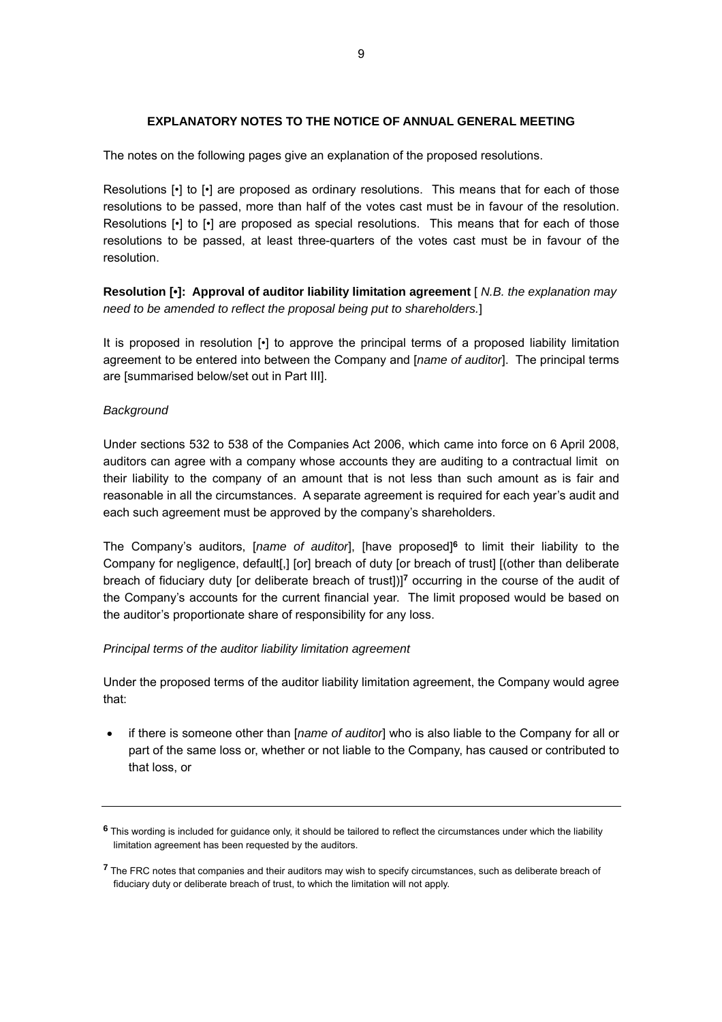#### **EXPLANATORY NOTES TO THE NOTICE OF ANNUAL GENERAL MEETING**

The notes on the following pages give an explanation of the proposed resolutions.

Resolutions [•] to [•] are proposed as ordinary resolutions. This means that for each of those resolutions to be passed, more than half of the votes cast must be in favour of the resolution. Resolutions [•] to [•] are proposed as special resolutions. This means that for each of those resolutions to be passed, at least three-quarters of the votes cast must be in favour of the resolution.

**Resolution [•]: Approval of auditor liability limitation agreement** [ *N.B. the explanation may need to be amended to reflect the proposal being put to shareholders.*]

It is proposed in resolution [•] to approve the principal terms of a proposed liability limitation agreement to be entered into between the Company and [*name of auditor*]. The principal terms are [summarised below/set out in Part III].

#### *Background*

Under sections 532 to 538 of the Companies Act 2006, which came into force on 6 April 2008, auditors can agree with a company whose accounts they are auditing to a contractual limit on their liability to the company of an amount that is not less than such amount as is fair and reasonable in all the circumstances. A separate agreement is required for each year's audit and each such agreement must be approved by the company's shareholders.

The Company's auditors, [*name of auditor*], [have proposed]**[6](#page-8-0)** to limit their liability to the Company for negligence, default[,] [or] breach of duty [or breach of trust] [(other than deliberate breach of fiduciary duty [or deliberate breach of trust])]**[7](#page-8-1)** occurring in the course of the audit of the Company's accounts for the current financial year. The limit proposed would be based on the auditor's proportionate share of responsibility for any loss.

#### *Principal terms of the auditor liability limitation agreement*

Under the proposed terms of the auditor liability limitation agreement, the Company would agree that:

• if there is someone other than [*name of auditor*] who is also liable to the Company for all or part of the same loss or, whether or not liable to the Company, has caused or contributed to that loss, or

<span id="page-8-0"></span>**<sup>6</sup>** This wording is included for guidance only, it should be tailored to reflect the circumstances under which the liability limitation agreement has been requested by the auditors.

<span id="page-8-1"></span>**<sup>7</sup>** The FRC notes that companies and their auditors may wish to specify circumstances, such as deliberate breach of fiduciary duty or deliberate breach of trust, to which the limitation will not apply.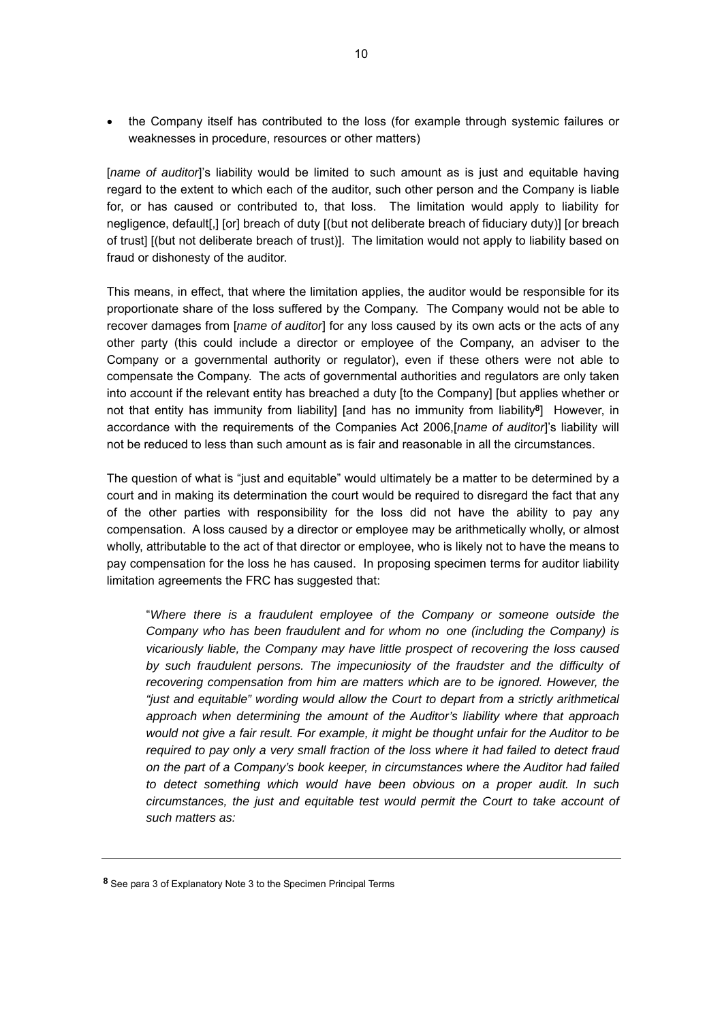• the Company itself has contributed to the loss (for example through systemic failures or weaknesses in procedure, resources or other matters)

[name of auditor]'s liability would be limited to such amount as is just and equitable having regard to the extent to which each of the auditor, such other person and the Company is liable for, or has caused or contributed to, that loss. The limitation would apply to liability for negligence, default[,] [or] breach of duty [(but not deliberate breach of fiduciary duty)] [or breach of trust] [(but not deliberate breach of trust)]. The limitation would not apply to liability based on fraud or dishonesty of the auditor.

This means, in effect, that where the limitation applies, the auditor would be responsible for its proportionate share of the loss suffered by the Company. The Company would not be able to recover damages from [*name of auditor*] for any loss caused by its own acts or the acts of any other party (this could include a director or employee of the Company, an adviser to the Company or a governmental authority or regulator), even if these others were not able to compensate the Company. The acts of governmental authorities and regulators are only taken into account if the relevant entity has breached a duty [to the Company] [but applies whether or not that entity has immunity from liability] [and has no immunity from liability**[8](#page-9-0)**] However, in accordance with the requirements of the Companies Act 2006,[*name of auditor*]'s liability will not be reduced to less than such amount as is fair and reasonable in all the circumstances.

The question of what is "just and equitable" would ultimately be a matter to be determined by a court and in making its determination the court would be required to disregard the fact that any of the other parties with responsibility for the loss did not have the ability to pay any compensation. A loss caused by a director or employee may be arithmetically wholly, or almost wholly, attributable to the act of that director or employee, who is likely not to have the means to pay compensation for the loss he has caused. In proposing specimen terms for auditor liability limitation agreements the FRC has suggested that:

"*Where there is a fraudulent employee of the Company or someone outside the Company who has been fraudulent and for whom no one (including the Company) is vicariously liable, the Company may have little prospect of recovering the loss caused by such fraudulent persons. The impecuniosity of the fraudster and the difficulty of*  recovering compensation from him are matters which are to be ignored. However, the *"just and equitable" wording would allow the Court to depart from a strictly arithmetical approach when determining the amount of the Auditor's liability where that approach would not give a fair result. For example, it might be thought unfair for the Auditor to be required to pay only a very small fraction of the loss where it had failed to detect fraud on the part of a Company's book keeper, in circumstances where the Auditor had failed to detect something which would have been obvious on a proper audit. In such circumstances, the just and equitable test would permit the Court to take account of such matters as:*

<span id="page-9-0"></span>**<sup>8</sup>** See para 3 of Explanatory Note 3 to the Specimen Principal Terms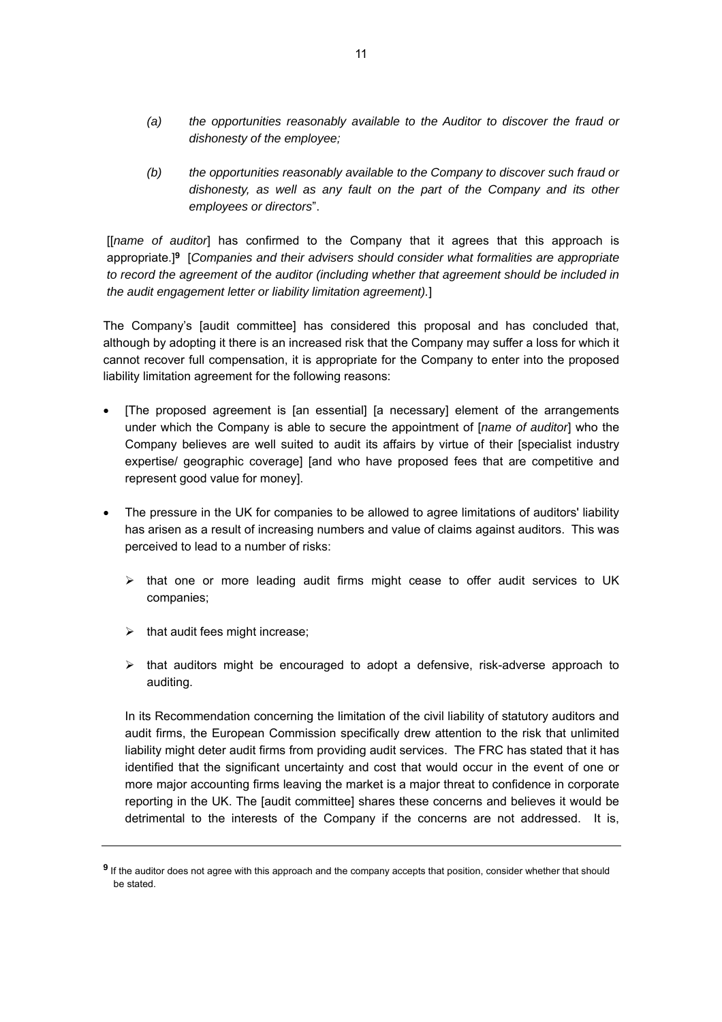- *(a) the opportunities reasonably available to the Auditor to discover the fraud or dishonesty of the employee;*
- *(b) the opportunities reasonably available to the Company to discover such fraud or dishonesty, as well as any fault on the part of the Company and its other employees or directors*".

[[*name of auditor*] has confirmed to the Company that it agrees that this approach is appropriate.]**[9](#page-10-0)** [*Companies and their advisers should consider what formalities are appropriate to record the agreement of the auditor (including whether that agreement should be included in the audit engagement letter or liability limitation agreement).*]

The Company's [audit committee] has considered this proposal and has concluded that, although by adopting it there is an increased risk that the Company may suffer a loss for which it cannot recover full compensation, it is appropriate for the Company to enter into the proposed liability limitation agreement for the following reasons:

- [The proposed agreement is [an essential] [a necessary] element of the arrangements under which the Company is able to secure the appointment of [*name of auditor*] who the Company believes are well suited to audit its affairs by virtue of their [specialist industry expertise/ geographic coverage] [and who have proposed fees that are competitive and represent good value for money].
- The pressure in the UK for companies to be allowed to agree limitations of auditors' liability has arisen as a result of increasing numbers and value of claims against auditors. This was perceived to lead to a number of risks:
	- $\triangleright$  that one or more leading audit firms might cease to offer audit services to UK companies;
	- $\triangleright$  that audit fees might increase;
	- $\triangleright$  that auditors might be encouraged to adopt a defensive, risk-adverse approach to auditing.

In its Recommendation concerning the limitation of the civil liability of statutory auditors and audit firms, the European Commission specifically drew attention to the risk that unlimited liability might deter audit firms from providing audit services. The FRC has stated that it has identified that the significant uncertainty and cost that would occur in the event of one or more major accounting firms leaving the market is a major threat to confidence in corporate reporting in the UK. The [audit committee] shares these concerns and believes it would be detrimental to the interests of the Company if the concerns are not addressed. It is,

<span id="page-10-0"></span>**<sup>9</sup>** If the auditor does not agree with this approach and the company accepts that position, consider whether that should be stated.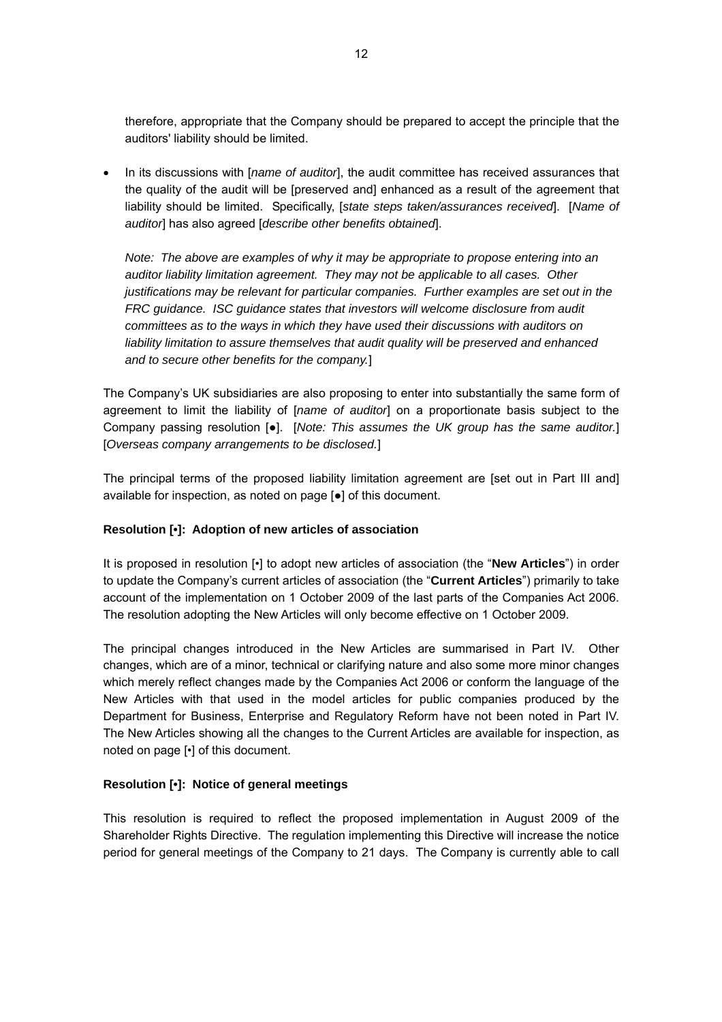therefore, appropriate that the Company should be prepared to accept the principle that the auditors' liability should be limited.

• In its discussions with [*name of auditor*], the audit committee has received assurances that the quality of the audit will be [preserved and] enhanced as a result of the agreement that liability should be limited. Specifically, [*state steps taken/assurances received*]. [*Name of auditor*] has also agreed [*describe other benefits obtained*].

*Note: The above are examples of why it may be appropriate to propose entering into an auditor liability limitation agreement. They may not be applicable to all cases. Other justifications may be relevant for particular companies. Further examples are set out in the FRC guidance. ISC guidance states that investors will welcome disclosure from audit committees as to the ways in which they have used their discussions with auditors on liability limitation to assure themselves that audit quality will be preserved and enhanced and to secure other benefits for the company.*]

The Company's UK subsidiaries are also proposing to enter into substantially the same form of agreement to limit the liability of [*name of auditor*] on a proportionate basis subject to the Company passing resolution [●]. [*Note: This assumes the UK group has the same auditor.*] [*Overseas company arrangements to be disclosed.*]

The principal terms of the proposed liability limitation agreement are [set out in Part III and] available for inspection, as noted on page [●] of this document.

#### **Resolution [•]: Adoption of new articles of association**

It is proposed in resolution [•] to adopt new articles of association (the "**New Articles**") in order to update the Company's current articles of association (the "**Current Articles**") primarily to take account of the implementation on 1 October 2009 of the last parts of the Companies Act 2006. The resolution adopting the New Articles will only become effective on 1 October 2009.

The principal changes introduced in the New Articles are summarised in Part IV. Other changes, which are of a minor, technical or clarifying nature and also some more minor changes which merely reflect changes made by the Companies Act 2006 or conform the language of the New Articles with that used in the model articles for public companies produced by the Department for Business, Enterprise and Regulatory Reform have not been noted in Part IV. The New Articles showing all the changes to the Current Articles are available for inspection, as noted on page [•] of this document.

#### **Resolution [•]: Notice of general meetings**

This resolution is required to reflect the proposed implementation in August 2009 of the Shareholder Rights Directive. The regulation implementing this Directive will increase the notice period for general meetings of the Company to 21 days. The Company is currently able to call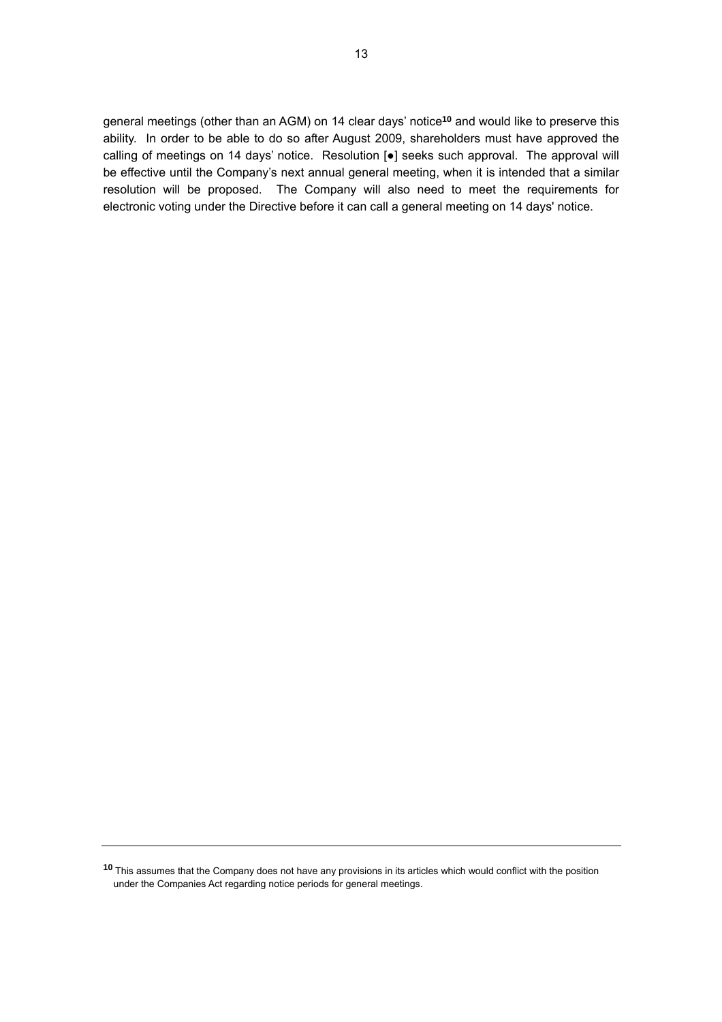general meetings (other than an AGM) on 14 clear days' notice**[10](#page-12-0)** and would like to preserve this ability. In order to be able to do so after August 2009, shareholders must have approved the calling of meetings on 14 days' notice. Resolution [●] seeks such approval. The approval will be effective until the Company's next annual general meeting, when it is intended that a similar resolution will be proposed. The Company will also need to meet the requirements for electronic voting under the Directive before it can call a general meeting on 14 days' notice.

<span id="page-12-0"></span>**<sup>10</sup>** This assumes that the Company does not have any provisions in its articles which would conflict with the position under the Companies Act regarding notice periods for general meetings.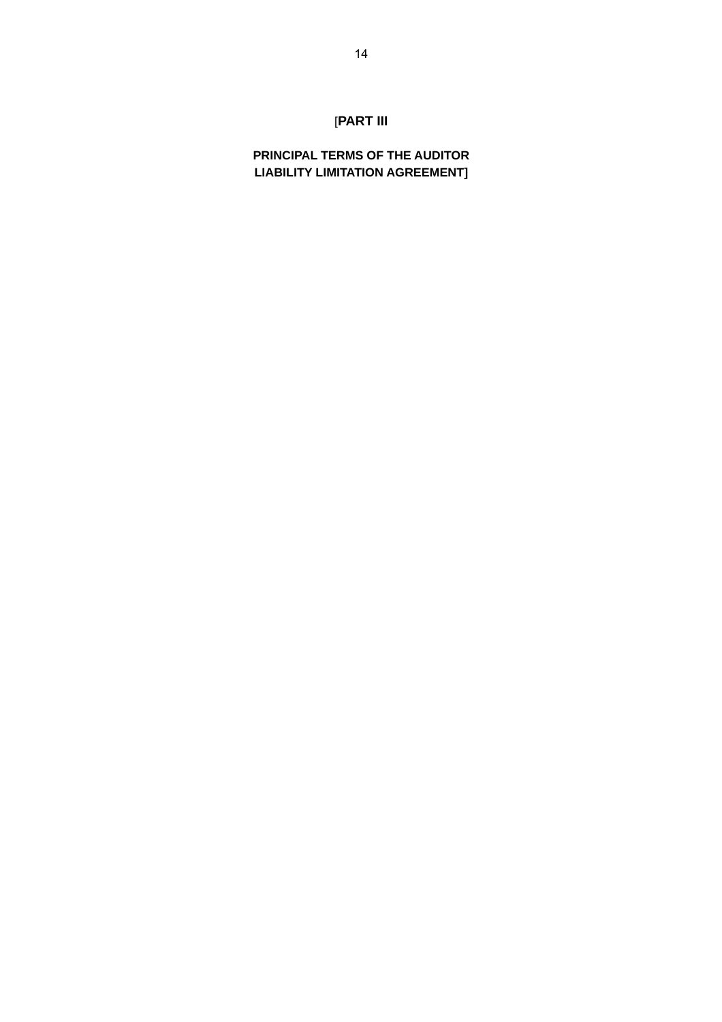# [**PART III**

**PRINCIPAL TERMS OF THE AUDITOR LIABILITY LIMITATION AGREEMENT]**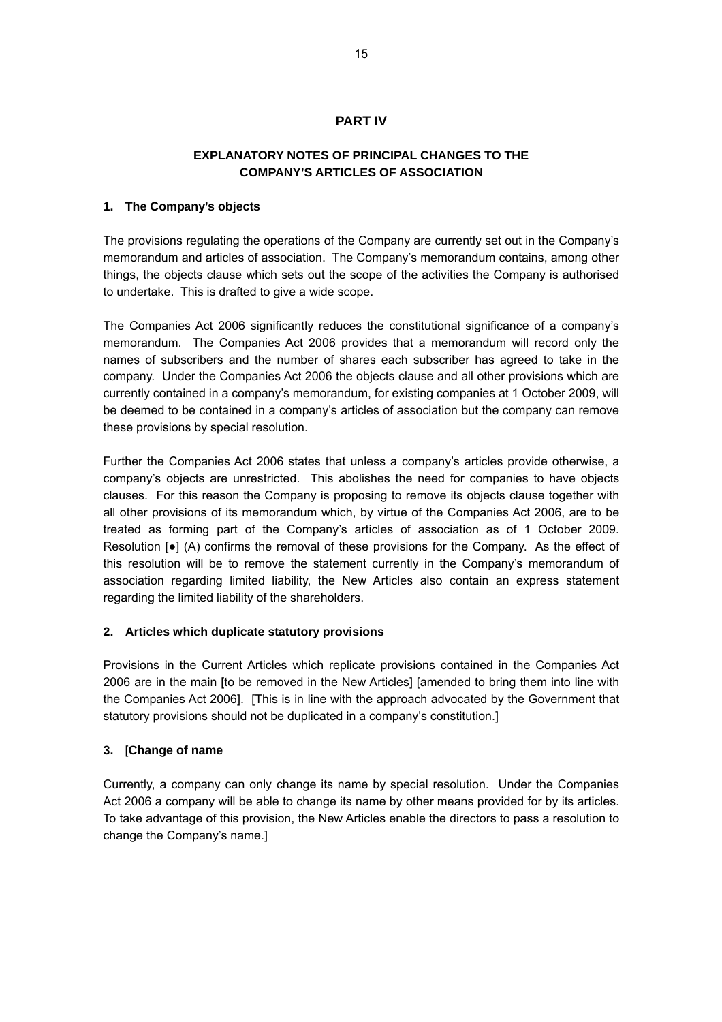# **PART IV**

# **EXPLANATORY NOTES OF PRINCIPAL CHANGES TO THE COMPANY'S ARTICLES OF ASSOCIATION**

#### **1. The Company's objects**

The provisions regulating the operations of the Company are currently set out in the Company's memorandum and articles of association. The Company's memorandum contains, among other things, the objects clause which sets out the scope of the activities the Company is authorised to undertake. This is drafted to give a wide scope.

The Companies Act 2006 significantly reduces the constitutional significance of a company's memorandum. The Companies Act 2006 provides that a memorandum will record only the names of subscribers and the number of shares each subscriber has agreed to take in the company. Under the Companies Act 2006 the objects clause and all other provisions which are currently contained in a company's memorandum, for existing companies at 1 October 2009, will be deemed to be contained in a company's articles of association but the company can remove these provisions by special resolution.

Further the Companies Act 2006 states that unless a company's articles provide otherwise, a company's objects are unrestricted. This abolishes the need for companies to have objects clauses. For this reason the Company is proposing to remove its objects clause together with all other provisions of its memorandum which, by virtue of the Companies Act 2006, are to be treated as forming part of the Company's articles of association as of 1 October 2009. Resolution  $\lceil \bullet \rceil$  (A) confirms the removal of these provisions for the Company. As the effect of this resolution will be to remove the statement currently in the Company's memorandum of association regarding limited liability, the New Articles also contain an express statement regarding the limited liability of the shareholders.

#### **2. Articles which duplicate statutory provisions**

Provisions in the Current Articles which replicate provisions contained in the Companies Act 2006 are in the main [to be removed in the New Articles] [amended to bring them into line with the Companies Act 2006]. [This is in line with the approach advocated by the Government that statutory provisions should not be duplicated in a company's constitution.]

#### **3.** [**Change of name**

Currently, a company can only change its name by special resolution. Under the Companies Act 2006 a company will be able to change its name by other means provided for by its articles. To take advantage of this provision, the New Articles enable the directors to pass a resolution to change the Company's name.]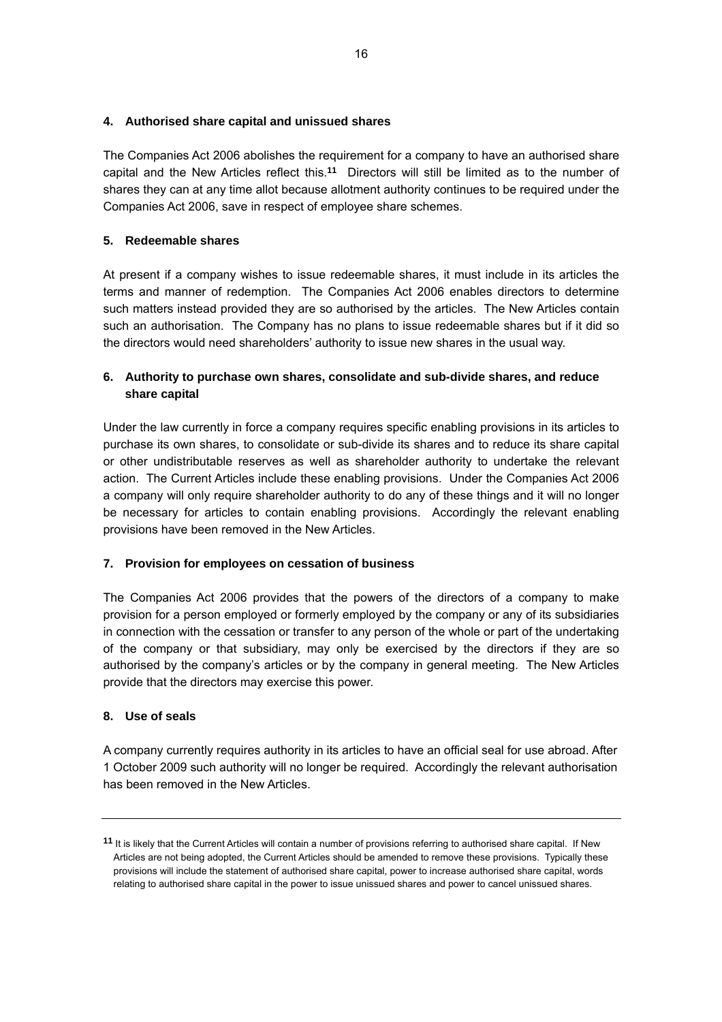#### **4. Authorised share capital and unissued shares**

The Companies Act 2006 abolishes the requirement for a company to have an authorised share capital and the New Articles reflect this.**[11](#page-15-0)** Directors will still be limited as to the number of shares they can at any time allot because allotment authority continues to be required under the Companies Act 2006, save in respect of employee share schemes.

## **5. Redeemable shares**

At present if a company wishes to issue redeemable shares, it must include in its articles the terms and manner of redemption. The Companies Act 2006 enables directors to determine such matters instead provided they are so authorised by the articles. The New Articles contain such an authorisation. The Company has no plans to issue redeemable shares but if it did so the directors would need shareholders' authority to issue new shares in the usual way.

# **6. Authority to purchase own shares, consolidate and sub-divide shares, and reduce share capital**

Under the law currently in force a company requires specific enabling provisions in its articles to purchase its own shares, to consolidate or sub-divide its shares and to reduce its share capital or other undistributable reserves as well as shareholder authority to undertake the relevant action. The Current Articles include these enabling provisions. Under the Companies Act 2006 a company will only require shareholder authority to do any of these things and it will no longer be necessary for articles to contain enabling provisions. Accordingly the relevant enabling provisions have been removed in the New Articles.

# **7. Provision for employees on cessation of business**

The Companies Act 2006 provides that the powers of the directors of a company to make provision for a person employed or formerly employed by the company or any of its subsidiaries in connection with the cessation or transfer to any person of the whole or part of the undertaking of the company or that subsidiary, may only be exercised by the directors if they are so authorised by the company's articles or by the company in general meeting. The New Articles provide that the directors may exercise this power.

#### **8. Use of seals**

A company currently requires authority in its articles to have an official seal for use abroad. After 1 October 2009 such authority will no longer be required. Accordingly the relevant authorisation has been removed in the New Articles.

<span id="page-15-0"></span>**<sup>11</sup>** It is likely that the Current Articles will contain a number of provisions referring to authorised share capital. If New Articles are not being adopted, the Current Articles should be amended to remove these provisions. Typically these provisions will include the statement of authorised share capital, power to increase authorised share capital, words relating to authorised share capital in the power to issue unissued shares and power to cancel unissued shares.